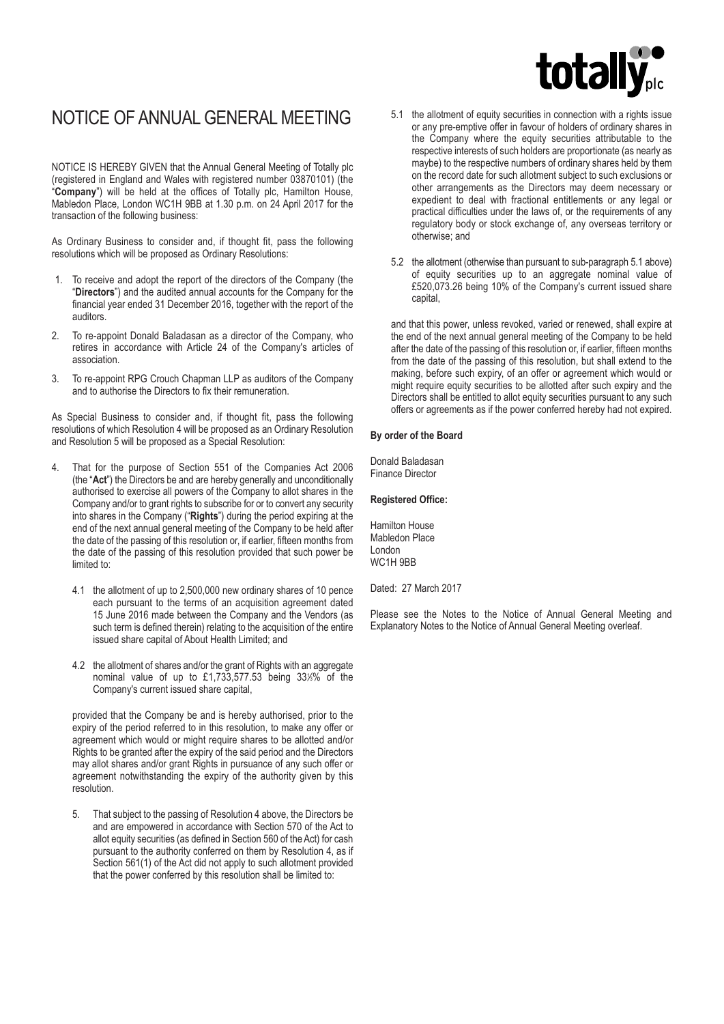# **totally**

## NOTICE OF ANNUAL GENERAL MEETING

NOTICE IS HEREBY GIVEN that the Annual General Meeting of Totally plc (registered in England and Wales with registered number 03870101) (the "**Company**") will be held at the offices of Totally plc, Hamilton House, Mabledon Place, London WC1H 9BB at 1.30 p.m. on 24 April 2017 for the transaction of the following business:

As Ordinary Business to consider and, if thought fit, pass the following resolutions which will be proposed as Ordinary Resolutions:

- 1. To receive and adopt the report of the directors of the Company (the "**Directors**") and the audited annual accounts for the Company for the financial year ended 31 December 2016, together with the report of the auditors.
- 2. To re-appoint Donald Baladasan as a director of the Company, who retires in accordance with Article 24 of the Company's articles of association.
- 3. To re-appoint RPG Crouch Chapman LLP as auditors of the Company and to authorise the Directors to fix their remuneration.

As Special Business to consider and, if thought fit, pass the following resolutions of which Resolution 4 will be proposed as an Ordinary Resolution and Resolution 5 will be proposed as a Special Resolution:

- 4. That for the purpose of Section 551 of the Companies Act 2006 (the "**Act**") the Directors be and are hereby generally and unconditionally authorised to exercise all powers of the Company to allot shares in the Company and/or to grant rights to subscribe for or to convert any security into shares in the Company ("**Rights**") during the period expiring at the end of the next annual general meeting of the Company to be held after the date of the passing of this resolution or, if earlier, fifteen months from the date of the passing of this resolution provided that such power be limited to:
	- 4.1 the allotment of up to 2,500,000 new ordinary shares of 10 pence each pursuant to the terms of an acquisition agreement dated 15 June 2016 made between the Company and the Vendors (as such term is defined therein) relating to the acquisition of the entire issued share capital of About Health Limited; and
	- 4.2 the allotment of shares and/or the grant of Rights with an aggregate nominal value of up to £1,733,577.53 being 33%% of the Company's current issued share capital,

provided that the Company be and is hereby authorised, prior to the expiry of the period referred to in this resolution, to make any offer or agreement which would or might require shares to be allotted and/or Rights to be granted after the expiry of the said period and the Directors may allot shares and/or grant Rights in pursuance of any such offer or agreement notwithstanding the expiry of the authority given by this resolution.

5. That subject to the passing of Resolution 4 above, the Directors be and are empowered in accordance with Section 570 of the Act to allot equity securities (as defined in Section 560 of the Act) for cash pursuant to the authority conferred on them by Resolution 4, as if Section 561(1) of the Act did not apply to such allotment provided that the power conferred by this resolution shall be limited to:

- 5.1 the allotment of equity securities in connection with a rights issue or any pre-emptive offer in favour of holders of ordinary shares in the Company where the equity securities attributable to the respective interests of such holders are proportionate (as nearly as maybe) to the respective numbers of ordinary shares held by them on the record date for such allotment subject to such exclusions or other arrangements as the Directors may deem necessary or expedient to deal with fractional entitlements or any legal or practical difficulties under the laws of, or the requirements of any regulatory body or stock exchange of, any overseas territory or otherwise; and
- 5.2 the allotment (otherwise than pursuant to sub-paragraph 5.1 above) of equity securities up to an aggregate nominal value of £520,073.26 being 10% of the Company's current issued share capital,

and that this power, unless revoked, varied or renewed, shall expire at the end of the next annual general meeting of the Company to be held after the date of the passing of this resolution or, if earlier, fifteen months from the date of the passing of this resolution, but shall extend to the making, before such expiry, of an offer or agreement which would or might require equity securities to be allotted after such expiry and the Directors shall be entitled to allot equity securities pursuant to any such offers or agreements as if the power conferred hereby had not expired.

#### **By order of the Board**

Donald Baladasan Finance Director

#### **Registered Office:**

Hamilton House Mabledon Place London WC1H 9BB

Dated: 27 March 2017

Please see the Notes to the Notice of Annual General Meeting and Explanatory Notes to the Notice of Annual General Meeting overleaf.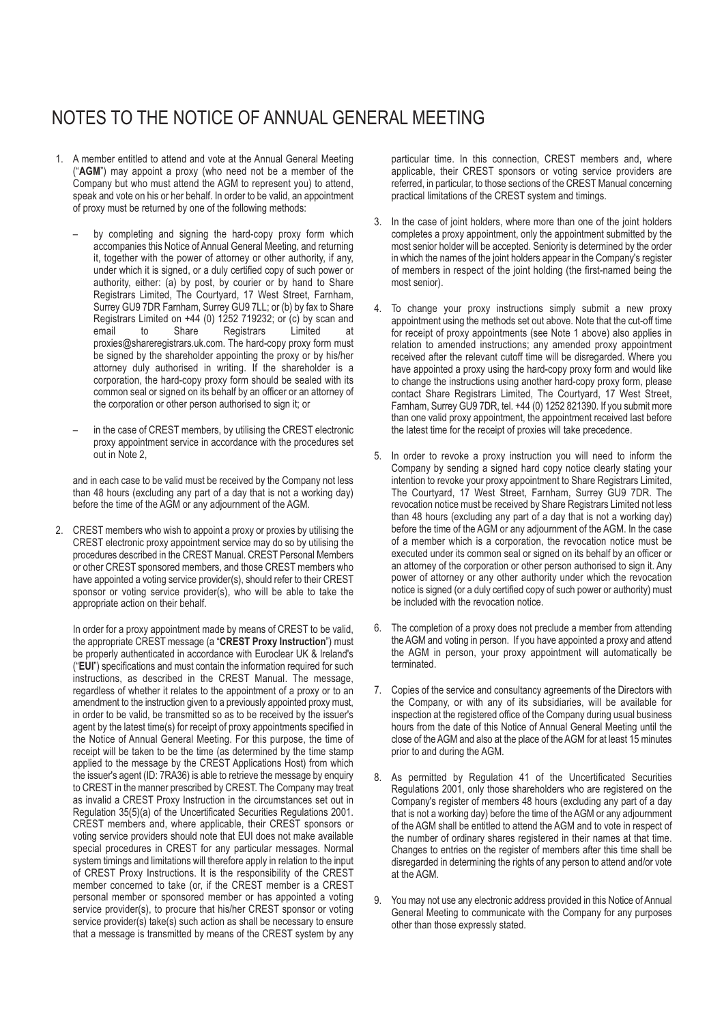## NOTES TO THE NOTICE OF ANNUAL GENERAL MEETING

- 1. A member entitled to attend and vote at the Annual General Meeting ("**AGM**") may appoint a proxy (who need not be a member of the Company but who must attend the AGM to represent you) to attend, speak and vote on his or her behalf. In order to be valid, an appointment of proxy must be returned by one of the following methods:
	- by completing and signing the hard-copy proxy form which accompanies this Notice of Annual General Meeting, and returning it, together with the power of attorney or other authority, if any, under which it is signed, or a duly certified copy of such power or authority, either: (a) by post, by courier or by hand to Share Registrars Limited, The Courtyard, 17 West Street, Farnham, Surrey GU9 7DR Farnham, Surrey GU9 7LL; or (b) by fax to Share Registrars Limited on +44 (0) 1252 719232; or (c) by scan and email to Share Registrars Limited at proxies@shareregistrars.uk.com. The hard-copy proxy form must be signed by the shareholder appointing the proxy or by his/her attorney duly authorised in writing. If the shareholder is a corporation, the hard-copy proxy form should be sealed with its common seal or signed on its behalf by an officer or an attorney of the corporation or other person authorised to sign it; or
	- in the case of CREST members, by utilising the CREST electronic proxy appointment service in accordance with the procedures set out in Note 2,

and in each case to be valid must be received by the Company not less than 48 hours (excluding any part of a day that is not a working day) before the time of the AGM or any adjournment of the AGM.

2. CREST members who wish to appoint a proxy or proxies by utilising the CREST electronic proxy appointment service may do so by utilising the procedures described in the CREST Manual. CREST Personal Members or other CREST sponsored members, and those CREST members who have appointed a voting service provider(s), should refer to their CREST sponsor or voting service provider(s), who will be able to take the appropriate action on their behalf.

In order for a proxy appointment made by means of CREST to be valid, the appropriate CREST message (a "**CREST Proxy Instruction**") must be properly authenticated in accordance with Euroclear UK & Ireland's ("**EUI**") specifications and must contain the information required for such instructions, as described in the CREST Manual. The message, regardless of whether it relates to the appointment of a proxy or to an amendment to the instruction given to a previously appointed proxy must, in order to be valid, be transmitted so as to be received by the issuer's agent by the latest time(s) for receipt of proxy appointments specified in the Notice of Annual General Meeting. For this purpose, the time of receipt will be taken to be the time (as determined by the time stamp applied to the message by the CREST Applications Host) from which the issuer's agent (ID: 7RA36) is able to retrieve the message by enquiry to CREST in the manner prescribed by CREST. The Company may treat as invalid a CREST Proxy Instruction in the circumstances set out in Regulation 35(5)(a) of the Uncertificated Securities Regulations 2001. CREST members and, where applicable, their CREST sponsors or voting service providers should note that EUI does not make available special procedures in CREST for any particular messages. Normal system timings and limitations will therefore apply in relation to the input of CREST Proxy Instructions. It is the responsibility of the CREST member concerned to take (or, if the CREST member is a CREST personal member or sponsored member or has appointed a voting service provider(s), to procure that his/her CREST sponsor or voting service provider(s) take(s) such action as shall be necessary to ensure that a message is transmitted by means of the CREST system by any

particular time. In this connection, CREST members and, where applicable, their CREST sponsors or voting service providers are referred, in particular, to those sections of the CREST Manual concerning practical limitations of the CREST system and timings.

- 3. In the case of joint holders, where more than one of the joint holders completes a proxy appointment, only the appointment submitted by the most senior holder will be accepted. Seniority is determined by the order in which the names of the joint holders appear in the Company's register of members in respect of the joint holding (the first-named being the most senior).
- 4. To change your proxy instructions simply submit a new proxy appointment using the methods set out above. Note that the cut-off time for receipt of proxy appointments (see Note 1 above) also applies in relation to amended instructions; any amended proxy appointment received after the relevant cutoff time will be disregarded. Where you have appointed a proxy using the hard-copy proxy form and would like to change the instructions using another hard-copy proxy form, please contact Share Registrars Limited, The Courtyard, 17 West Street, Farnham, Surrey GU9 7DR, tel. +44 (0) 1252 821390. If you submit more than one valid proxy appointment, the appointment received last before the latest time for the receipt of proxies will take precedence.
- 5. In order to revoke a proxy instruction you will need to inform the Company by sending a signed hard copy notice clearly stating your intention to revoke your proxy appointment to Share Registrars Limited, The Courtyard, 17 West Street, Farnham, Surrey GU9 7DR. The revocation notice must be received by Share Registrars Limited not less than 48 hours (excluding any part of a day that is not a working day) before the time of the AGM or any adjournment of the AGM. In the case of a member which is a corporation, the revocation notice must be executed under its common seal or signed on its behalf by an officer or an attorney of the corporation or other person authorised to sign it. Any power of attorney or any other authority under which the revocation notice is signed (or a duly certified copy of such power or authority) must be included with the revocation notice.
- 6. The completion of a proxy does not preclude a member from attending the AGM and voting in person. If you have appointed a proxy and attend the AGM in person, your proxy appointment will automatically be terminated.
- 7. Copies of the service and consultancy agreements of the Directors with the Company, or with any of its subsidiaries, will be available for inspection at the registered office of the Company during usual business hours from the date of this Notice of Annual General Meeting until the close of the AGM and also at the place of the AGM for at least 15 minutes prior to and during the AGM.
- 8. As permitted by Regulation 41 of the Uncertificated Securities Regulations 2001, only those shareholders who are registered on the Company's register of members 48 hours (excluding any part of a day that is not a working day) before the time of the AGM or any adjournment of the AGM shall be entitled to attend the AGM and to vote in respect of the number of ordinary shares registered in their names at that time. Changes to entries on the register of members after this time shall be disregarded in determining the rights of any person to attend and/or vote at the AGM.
- 9. You may not use any electronic address provided in this Notice of Annual General Meeting to communicate with the Company for any purposes other than those expressly stated.